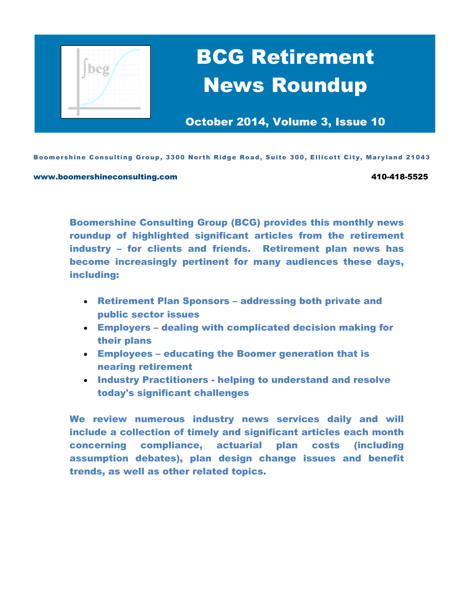

# BCG Retirement News Roundup

October 2014, Volume 3, Issue 10

Boomershine Consulting Group, 3300 North Ridge Road, Suite 300, Ellicott City, Maryland 21043

#### www.boomershineconsulting.com example that the state of the 410-418-5525

Boomershine Consulting Group (BCG) provides this monthly news roundup of highlighted significant articles from the retirement industry – for clients and friends. Retirement plan news has become increasingly pertinent for many audiences these days, including:

- Retirement Plan Sponsors addressing both private and public sector issues
- Employers dealing with complicated decision making for their plans
- Employees educating the Boomer generation that is nearing retirement
- Industry Practitioners helping to understand and resolve today's significant challenges

We review numerous industry news services daily and will include a collection of timely and significant articles each month concerning compliance, actuarial plan costs (including assumption debates), plan design change issues and benefit trends, as well as other related topics.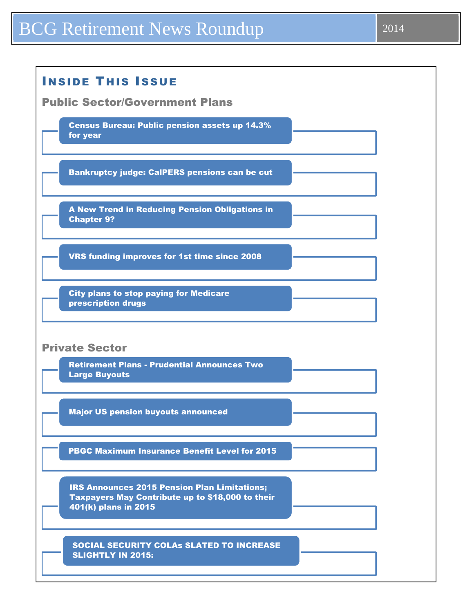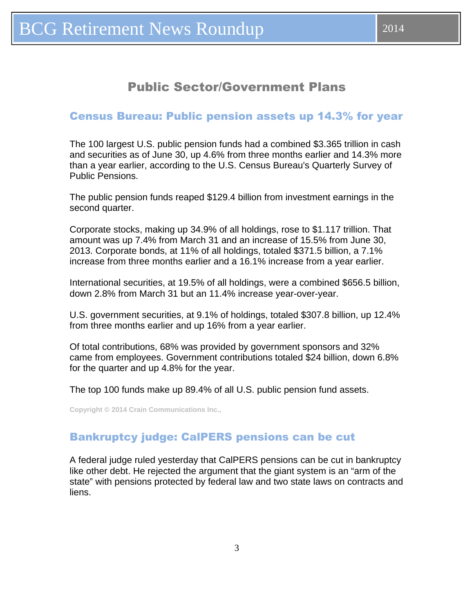## Public Sector/Government Plans

#### <span id="page-2-0"></span>Census Bureau: Public pension assets up 14.3% for year

The 100 largest U.S. public pension funds had a combined \$3.365 trillion in cash and securities as of June 30, up 4.6% from three months earlier and 14.3% more than a year earlier, according to the U.S. Census Bureau's Quarterly Survey of Public Pensions.

The public pension funds reaped \$129.4 billion from investment earnings in the second quarter.

Corporate stocks, making up 34.9% of all holdings, rose to \$1.117 trillion. That amount was up 7.4% from March 31 and an increase of 15.5% from June 30, 2013. Corporate bonds, at 11% of all holdings, totaled \$371.5 billion, a 7.1% increase from three months earlier and a 16.1% increase from a year earlier.

International securities, at 19.5% of all holdings, were a combined \$656.5 billion, down 2.8% from March 31 but an 11.4% increase year-over-year.

U.S. government securities, at 9.1% of holdings, totaled \$307.8 billion, up 12.4% from three months earlier and up 16% from a year earlier.

Of total contributions, 68% was provided by government sponsors and 32% came from employees. Government contributions totaled \$24 billion, down 6.8% for the quarter and up 4.8% for the year.

The top 100 funds make up 89.4% of all U.S. public pension fund assets.

**Copyright © 2014 Crain Communications Inc.,** 

#### Bankruptcy judge: CalPERS pensions can be cut

A federal judge ruled yesterday that CalPERS pensions can be cut in bankruptcy like other debt. He rejected the argument that the giant system is an "arm of the state" with pensions protected by federal law and two state laws on contracts and liens.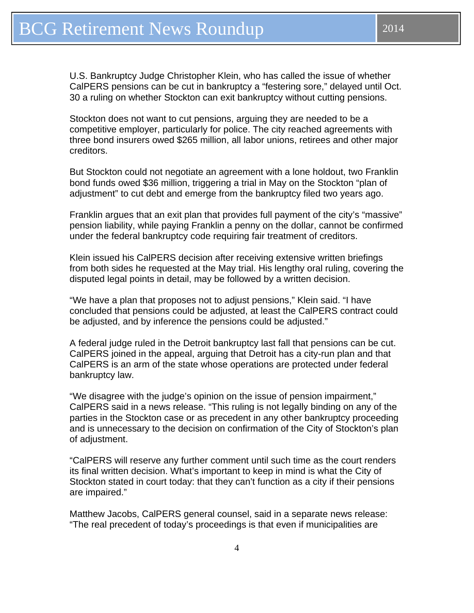U.S. Bankruptcy Judge Christopher Klein, who has called the issue of whether CalPERS pensions can be cut in bankruptcy a "festering sore," delayed until Oct. 30 a ruling on whether Stockton can exit bankruptcy without cutting pensions.

Stockton does not want to cut pensions, arguing they are needed to be a competitive employer, particularly for police. The city reached agreements with three bond insurers owed \$265 million, all labor unions, retirees and other major creditors.

But Stockton could not negotiate an agreement with a lone holdout, two Franklin bond funds owed \$36 million, triggering a trial in May on the Stockton "plan of adjustment" to cut debt and emerge from the bankruptcy filed two years ago.

Franklin argues that an exit plan that provides full payment of the city's "massive" pension liability, while paying Franklin a penny on the dollar, cannot be confirmed under the federal bankruptcy code requiring fair treatment of creditors.

Klein issued his CalPERS decision after receiving extensive written briefings from both sides he requested at the May trial. His lengthy oral ruling, covering the disputed legal points in detail, may be followed by a written decision.

"We have a plan that proposes not to adjust pensions," Klein said. "I have concluded that pensions could be adjusted, at least the CalPERS contract could be adjusted, and by inference the pensions could be adjusted."

A federal judge ruled in the Detroit bankruptcy last fall that pensions can be cut. CalPERS joined in the appeal, arguing that Detroit has a city-run plan and that CalPERS is an arm of the state whose operations are protected under federal bankruptcy law.

"We disagree with the judge's opinion on the issue of pension impairment," CalPERS said in a news release. "This ruling is not legally binding on any of the parties in the Stockton case or as precedent in any other bankruptcy proceeding and is unnecessary to the decision on confirmation of the City of Stockton's plan of adjustment.

"CalPERS will reserve any further comment until such time as the court renders its final written decision. What's important to keep in mind is what the City of Stockton stated in court today: that they can't function as a city if their pensions are impaired."

Matthew Jacobs, CalPERS general counsel, said in a separate news release: "The real precedent of today's proceedings is that even if municipalities are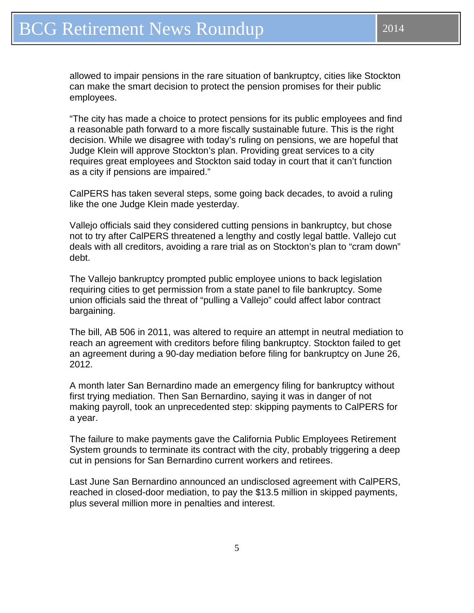allowed to impair pensions in the rare situation of bankruptcy, cities like Stockton can make the smart decision to protect the pension promises for their public employees.

"The city has made a choice to protect pensions for its public employees and find a reasonable path forward to a more fiscally sustainable future. This is the right decision. While we disagree with today's ruling on pensions, we are hopeful that Judge Klein will approve Stockton's plan. Providing great services to a city requires great employees and Stockton said today in court that it can't function as a city if pensions are impaired."

CalPERS has taken several steps, some going back decades, to avoid a ruling like the one Judge Klein made yesterday.

Vallejo officials said they considered cutting pensions in bankruptcy, but chose not to try after CalPERS threatened a lengthy and costly legal battle. Vallejo cut deals with all creditors, avoiding a rare trial as on Stockton's plan to "cram down" debt.

The Vallejo bankruptcy prompted public employee unions to back legislation requiring cities to get permission from a state panel to file bankruptcy. Some union officials said the threat of "pulling a Vallejo" could affect labor contract bargaining.

The bill, AB 506 in 2011, was altered to require an attempt in neutral mediation to reach an agreement with creditors before filing bankruptcy. Stockton failed to get an agreement during a 90-day mediation before filing for bankruptcy on June 26, 2012.

A month later San Bernardino made an emergency filing for bankruptcy without first trying mediation. Then San Bernardino, saying it was in danger of not making payroll, took an unprecedented step: skipping payments to CalPERS for a year.

The failure to make payments gave the California Public Employees Retirement System grounds to terminate its contract with the city, probably triggering a deep cut in pensions for San Bernardino current workers and retirees.

Last June San Bernardino announced an undisclosed agreement with CalPERS, reached in closed-door mediation, to pay the \$13.5 million in skipped payments, plus several million more in penalties and interest.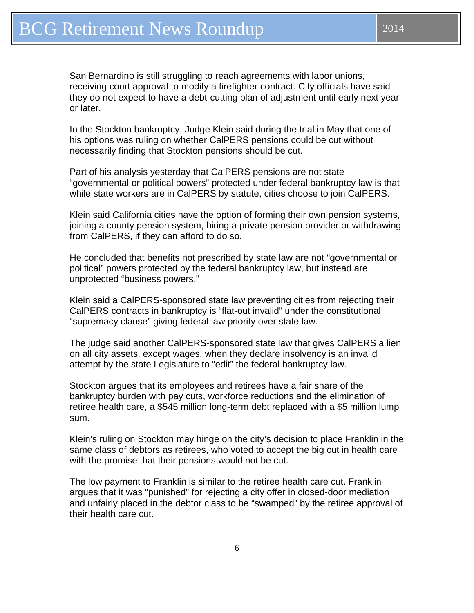In the Stockton bankruptcy, Judge Klein said during the trial in May that one of his options was ruling on whether CalPERS pensions could be cut without necessarily finding that Stockton pensions should be cut.

Part of his analysis yesterday that CalPERS pensions are not state "governmental or political powers" protected under federal bankruptcy law is that while state workers are in CalPERS by statute, cities choose to join CalPERS.

Klein said California cities have the option of forming their own pension systems, joining a county pension system, hiring a private pension provider or withdrawing from CalPERS, if they can afford to do so.

He concluded that benefits not prescribed by state law are not "governmental or political" powers protected by the federal bankruptcy law, but instead are unprotected "business powers."

Klein said a CalPERS-sponsored state law preventing cities from rejecting their CalPERS contracts in bankruptcy is "flat-out invalid" under the constitutional "supremacy clause" giving federal law priority over state law.

The judge said another CalPERS-sponsored state law that gives CalPERS a lien on all city assets, except wages, when they declare insolvency is an invalid attempt by the state Legislature to "edit" the federal bankruptcy law.

Stockton argues that its employees and retirees have a fair share of the bankruptcy burden with pay cuts, workforce reductions and the elimination of retiree health care, a \$545 million long-term debt replaced with a \$5 million lump sum.

Klein's ruling on Stockton may hinge on the city's decision to place Franklin in the same class of debtors as retirees, who voted to accept the big cut in health care with the promise that their pensions would not be cut.

The low payment to Franklin is similar to the retiree health care cut. Franklin argues that it was "punished" for rejecting a city offer in closed-door mediation and unfairly placed in the debtor class to be "swamped" by the retiree approval of their health care cut.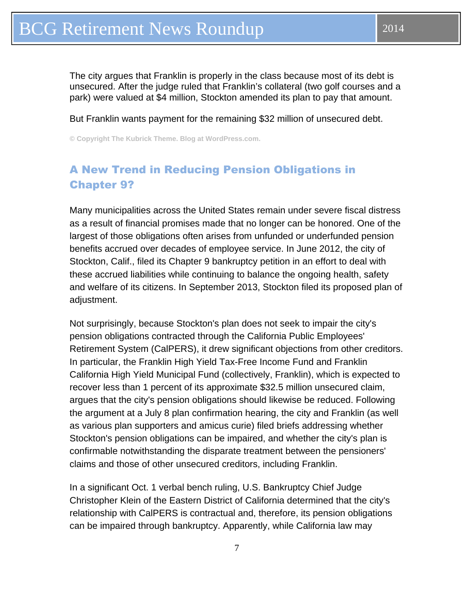<span id="page-6-0"></span>The city argues that Franklin is properly in the class because most of its debt is unsecured. After the judge ruled that Franklin's collateral (two golf courses and a park) were valued at \$4 million, Stockton amended its plan to pay that amount.

But Franklin wants payment for the remaining \$32 million of unsecured debt.

**© Copyright The Kubrick Theme. Blog at WordPress.com.** 

## A New Trend in Reducing Pension Obligations in Chapter 9?

Many municipalities across the United States remain under severe fiscal distress as a result of financial promises made that no longer can be honored. One of the largest of those obligations often arises from unfunded or underfunded pension benefits accrued over decades of employee service. In June 2012, the city of Stockton, Calif., filed its Chapter 9 bankruptcy petition in an effort to deal with these accrued liabilities while continuing to balance the ongoing health, safety and welfare of its citizens. In September 2013, Stockton filed its proposed plan of adjustment.

Not surprisingly, because Stockton's plan does not seek to impair the city's pension obligations contracted through the California Public Employees' Retirement System (CalPERS), it drew significant objections from other creditors. In particular, the Franklin High Yield Tax-Free Income Fund and Franklin California High Yield Municipal Fund (collectively, Franklin), which is expected to recover less than 1 percent of its approximate \$32.5 million unsecured claim, argues that the city's pension obligations should likewise be reduced. Following the argument at a July 8 plan confirmation hearing, the city and Franklin (as well as various plan supporters and amicus curie) filed briefs addressing whether Stockton's pension obligations can be impaired, and whether the city's plan is confirmable notwithstanding the disparate treatment between the pensioners' claims and those of other unsecured creditors, including Franklin.

In a significant Oct. 1 verbal bench ruling, U.S. Bankruptcy Chief Judge Christopher Klein of the Eastern District of California determined that the city's relationship with CalPERS is contractual and, therefore, its pension obligations can be impaired through bankruptcy. Apparently, while California law may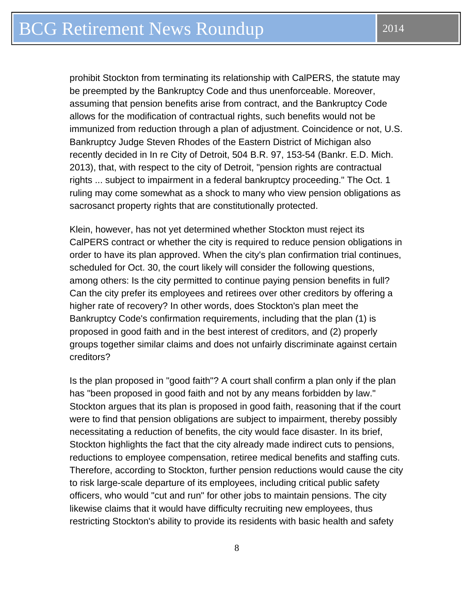prohibit Stockton from terminating its relationship with CalPERS, the statute may be preempted by the Bankruptcy Code and thus unenforceable. Moreover, assuming that pension benefits arise from contract, and the Bankruptcy Code allows for the modification of contractual rights, such benefits would not be immunized from reduction through a plan of adjustment. Coincidence or not, U.S. Bankruptcy Judge Steven Rhodes of the Eastern District of Michigan also recently decided in In re City of Detroit, 504 B.R. 97, 153-54 (Bankr. E.D. Mich. 2013), that, with respect to the city of Detroit, "pension rights are contractual rights ... subject to impairment in a federal bankruptcy proceeding." The Oct. 1 ruling may come somewhat as a shock to many who view pension obligations as sacrosanct property rights that are constitutionally protected.

Klein, however, has not yet determined whether Stockton must reject its CalPERS contract or whether the city is required to reduce pension obligations in order to have its plan approved. When the city's plan confirmation trial continues, scheduled for Oct. 30, the court likely will consider the following questions, among others: Is the city permitted to continue paying pension benefits in full? Can the city prefer its employees and retirees over other creditors by offering a higher rate of recovery? In other words, does Stockton's plan meet the Bankruptcy Code's confirmation requirements, including that the plan (1) is proposed in good faith and in the best interest of creditors, and (2) properly groups together similar claims and does not unfairly discriminate against certain creditors?

Is the plan proposed in "good faith"? A court shall confirm a plan only if the plan has "been proposed in good faith and not by any means forbidden by law." Stockton argues that its plan is proposed in good faith, reasoning that if the court were to find that pension obligations are subject to impairment, thereby possibly necessitating a reduction of benefits, the city would face disaster. In its brief, Stockton highlights the fact that the city already made indirect cuts to pensions, reductions to employee compensation, retiree medical benefits and staffing cuts. Therefore, according to Stockton, further pension reductions would cause the city to risk large-scale departure of its employees, including critical public safety officers, who would "cut and run" for other jobs to maintain pensions. The city likewise claims that it would have difficulty recruiting new employees, thus restricting Stockton's ability to provide its residents with basic health and safety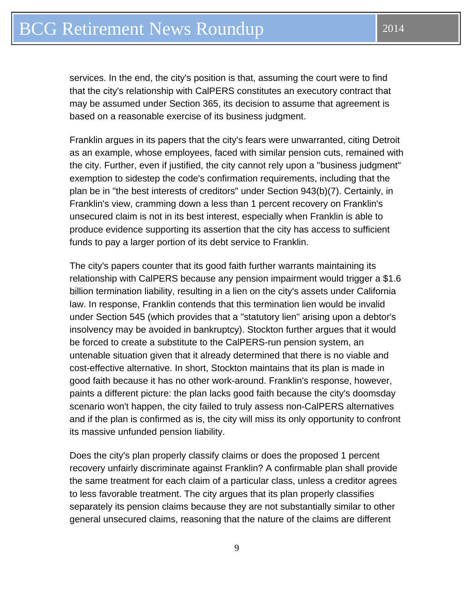services. In the end, the city's position is that, assuming the court were to find that the city's relationship with CalPERS constitutes an executory contract that may be assumed under Section 365, its decision to assume that agreement is based on a reasonable exercise of its business judgment.

Franklin argues in its papers that the city's fears were unwarranted, citing Detroit as an example, whose employees, faced with similar pension cuts, remained with the city. Further, even if justified, the city cannot rely upon a "business judgment" exemption to sidestep the code's confirmation requirements, including that the plan be in "the best interests of creditors" under Section 943(b)(7). Certainly, in Franklin's view, cramming down a less than 1 percent recovery on Franklin's unsecured claim is not in its best interest, especially when Franklin is able to produce evidence supporting its assertion that the city has access to sufficient funds to pay a larger portion of its debt service to Franklin.

The city's papers counter that its good faith further warrants maintaining its relationship with CalPERS because any pension impairment would trigger a \$1.6 billion termination liability, resulting in a lien on the city's assets under California law. In response, Franklin contends that this termination lien would be invalid under Section 545 (which provides that a "statutory lien" arising upon a debtor's insolvency may be avoided in bankruptcy). Stockton further argues that it would be forced to create a substitute to the CalPERS-run pension system, an untenable situation given that it already determined that there is no viable and cost-effective alternative. In short, Stockton maintains that its plan is made in good faith because it has no other work-around. Franklin's response, however, paints a different picture: the plan lacks good faith because the city's doomsday scenario won't happen, the city failed to truly assess non-CalPERS alternatives and if the plan is confirmed as is, the city will miss its only opportunity to confront its massive unfunded pension liability.

Does the city's plan properly classify claims or does the proposed 1 percent recovery unfairly discriminate against Franklin? A confirmable plan shall provide the same treatment for each claim of a particular class, unless a creditor agrees to less favorable treatment. The city argues that its plan properly classifies separately its pension claims because they are not substantially similar to other general unsecured claims, reasoning that the nature of the claims are different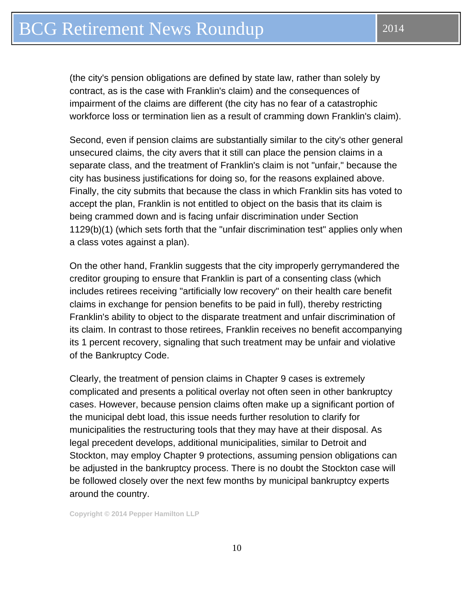(the city's pension obligations are defined by state law, rather than solely by contract, as is the case with Franklin's claim) and the consequences of impairment of the claims are different (the city has no fear of a catastrophic workforce loss or termination lien as a result of cramming down Franklin's claim).

Second, even if pension claims are substantially similar to the city's other general unsecured claims, the city avers that it still can place the pension claims in a separate class, and the treatment of Franklin's claim is not "unfair," because the city has business justifications for doing so, for the reasons explained above. Finally, the city submits that because the class in which Franklin sits has voted to accept the plan, Franklin is not entitled to object on the basis that its claim is being crammed down and is facing unfair discrimination under Section 1129(b)(1) (which sets forth that the "unfair discrimination test" applies only when a class votes against a plan).

On the other hand, Franklin suggests that the city improperly gerrymandered the creditor grouping to ensure that Franklin is part of a consenting class (which includes retirees receiving "artificially low recovery" on their health care benefit claims in exchange for pension benefits to be paid in full), thereby restricting Franklin's ability to object to the disparate treatment and unfair discrimination of its claim. In contrast to those retirees, Franklin receives no benefit accompanying its 1 percent recovery, signaling that such treatment may be unfair and violative of the Bankruptcy Code.

Clearly, the treatment of pension claims in Chapter 9 cases is extremely complicated and presents a political overlay not often seen in other bankruptcy cases. However, because pension claims often make up a significant portion of the municipal debt load, this issue needs further resolution to clarify for municipalities the restructuring tools that they may have at their disposal. As legal precedent develops, additional municipalities, similar to Detroit and Stockton, may employ Chapter 9 protections, assuming pension obligations can be adjusted in the bankruptcy process. There is no doubt the Stockton case will be followed closely over the next few months by municipal bankruptcy experts around the country.

**Copyright © 2014 Pepper Hamilton LLP**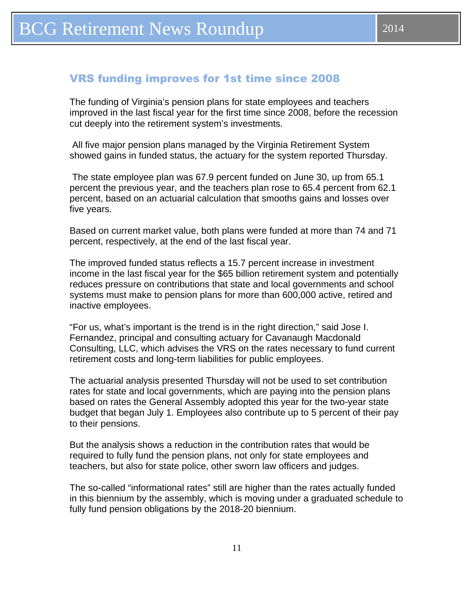#### <span id="page-10-0"></span>VRS funding improves for 1st time since 2008

The funding of Virginia's pension plans for state employees and teachers improved in the last fiscal year for the first time since 2008, before the recession cut deeply into the retirement system's investments.

 All five major pension plans managed by the Virginia Retirement System showed gains in funded status, the actuary for the system reported Thursday.

 The state employee plan was 67.9 percent funded on June 30, up from 65.1 percent the previous year, and the teachers plan rose to 65.4 percent from 62.1 percent, based on an actuarial calculation that smooths gains and losses over five years.

Based on current market value, both plans were funded at more than 74 and 71 percent, respectively, at the end of the last fiscal year.

The improved funded status reflects a 15.7 percent increase in investment income in the last fiscal year for the \$65 billion retirement system and potentially reduces pressure on contributions that state and local governments and school systems must make to pension plans for more than 600,000 active, retired and inactive employees.

"For us, what's important is the trend is in the right direction," said Jose I. Fernandez, principal and consulting actuary for Cavanaugh Macdonald Consulting, LLC, which advises the VRS on the rates necessary to fund current retirement costs and long-term liabilities for public employees.

The actuarial analysis presented Thursday will not be used to set contribution rates for state and local governments, which are paying into the pension plans based on rates the General Assembly adopted this year for the two-year state budget that began July 1. Employees also contribute up to 5 percent of their pay to their pensions.

But the analysis shows a reduction in the contribution rates that would be required to fully fund the pension plans, not only for state employees and teachers, but also for state police, other sworn law officers and judges.

The so-called "informational rates" still are higher than the rates actually funded in this biennium by the assembly, which is moving under a graduated schedule to fully fund pension obligations by the 2018-20 biennium.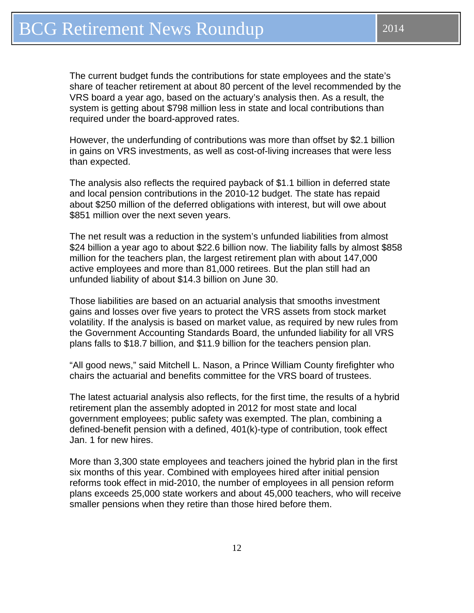The current budget funds the contributions for state employees and the state's share of teacher retirement at about 80 percent of the level recommended by the VRS board a year ago, based on the actuary's analysis then. As a result, the system is getting about \$798 million less in state and local contributions than required under the board-approved rates.

However, the underfunding of contributions was more than offset by \$2.1 billion in gains on VRS investments, as well as cost-of-living increases that were less than expected.

The analysis also reflects the required payback of \$1.1 billion in deferred state and local pension contributions in the 2010-12 budget. The state has repaid about \$250 million of the deferred obligations with interest, but will owe about \$851 million over the next seven years.

The net result was a reduction in the system's unfunded liabilities from almost \$24 billion a year ago to about \$22.6 billion now. The liability falls by almost \$858 million for the teachers plan, the largest retirement plan with about 147,000 active employees and more than 81,000 retirees. But the plan still had an unfunded liability of about \$14.3 billion on June 30.

Those liabilities are based on an actuarial analysis that smooths investment gains and losses over five years to protect the VRS assets from stock market volatility. If the analysis is based on market value, as required by new rules from the Government Accounting Standards Board, the unfunded liability for all VRS plans falls to \$18.7 billion, and \$11.9 billion for the teachers pension plan.

"All good news," said Mitchell L. Nason, a Prince William County firefighter who chairs the actuarial and benefits committee for the VRS board of trustees.

The latest actuarial analysis also reflects, for the first time, the results of a hybrid retirement plan the assembly adopted in 2012 for most state and local government employees; public safety was exempted. The plan, combining a defined-benefit pension with a defined, 401(k)-type of contribution, took effect Jan. 1 for new hires.

More than 3,300 state employees and teachers joined the hybrid plan in the first six months of this year. Combined with employees hired after initial pension reforms took effect in mid-2010, the number of employees in all pension reform plans exceeds 25,000 state workers and about 45,000 teachers, who will receive smaller pensions when they retire than those hired before them.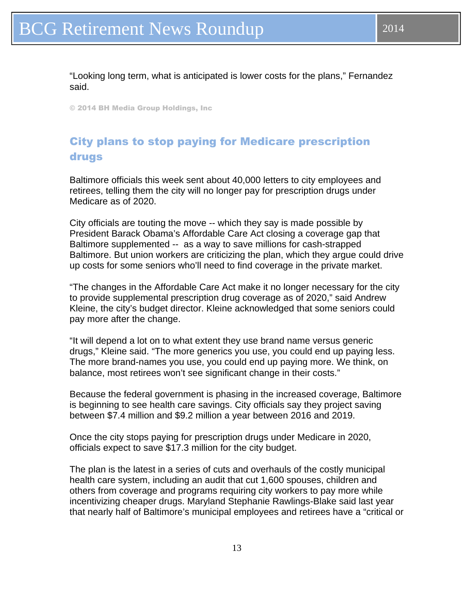<span id="page-12-0"></span>"Looking long term, what is anticipated is lower costs for the plans," Fernandez said.

© 2014 BH Media Group Holdings, Inc

## City plans to stop paying for Medicare prescription drugs

Baltimore officials this week sent about 40,000 letters to city employees and retirees, telling them the city will no longer pay for prescription drugs under Medicare as of 2020.

City officials are touting the move -- which they say is made possible by President Barack Obama's Affordable Care Act closing a coverage gap that Baltimore supplemented -- as a way to save millions for cash-strapped Baltimore. But union workers are criticizing the plan, which they argue could drive up costs for some seniors who'll need to find coverage in the private market.

"The changes in the Affordable Care Act make it no longer necessary for the city to provide supplemental prescription drug coverage as of 2020," said Andrew Kleine, the city's budget director. Kleine acknowledged that some seniors could pay more after the change.

"It will depend a lot on to what extent they use brand name versus generic drugs," Kleine said. "The more generics you use, you could end up paying less. The more brand-names you use, you could end up paying more. We think, on balance, most retirees won't see significant change in their costs."

Because the federal government is phasing in the increased coverage, Baltimore is beginning to see health care savings. City officials say they project saving between \$7.4 million and \$9.2 million a year between 2016 and 2019.

Once the city stops paying for prescription drugs under Medicare in 2020, officials expect to save \$17.3 million for the city budget.

The plan is the latest in a series of cuts and overhauls of the costly municipal health care system, including an audit that cut 1,600 spouses, children and others from coverage and programs requiring city workers to pay more while incentivizing cheaper drugs. Maryland Stephanie Rawlings-Blake said last year that nearly half of Baltimore's municipal employees and retirees have a "critical or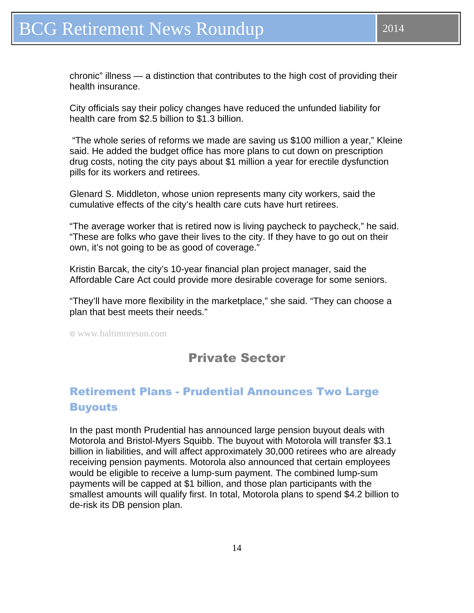## <span id="page-13-0"></span>BCG Retirement News Roundup 2014

chronic" illness — a distinction that contributes to the high cost of providing their health insurance.

City officials say their policy changes have reduced the unfunded liability for health care from \$2.5 billion to \$1.3 billion.

 "The whole series of reforms we made are saving us \$100 million a year," Kleine said. He added the budget office has more plans to cut down on prescription drug costs, noting the city pays about \$1 million a year for erectile dysfunction pills for its workers and retirees.

Glenard S. Middleton, whose union represents many city workers, said the cumulative effects of the city's health care cuts have hurt retirees.

"The average worker that is retired now is living paycheck to paycheck," he said. "These are folks who gave their lives to the city. If they have to go out on their own, it's not going to be as good of coverage."

Kristin Barcak, the city's 10-year financial plan project manager, said the Affordable Care Act could provide more desirable coverage for some seniors.

"They'll have more flexibility in the marketplace," she said. "They can choose a plan that best meets their needs."

© www.baltimoresun.com

## Private Sector

## Retirement Plans - Prudential Announces Two Large **Buyouts**

In the past month Prudential has announced large pension buyout deals with Motorola and Bristol-Myers Squibb. The buyout with Motorola will transfer \$3.1 billion in liabilities, and will affect approximately 30,000 retirees who are already receiving pension payments. Motorola also announced that certain employees would be eligible to receive a lump-sum payment. The combined lump-sum payments will be capped at \$1 billion, and those plan participants with the smallest amounts will qualify first. In total, Motorola plans to spend \$4.2 billion to de-risk its DB pension plan.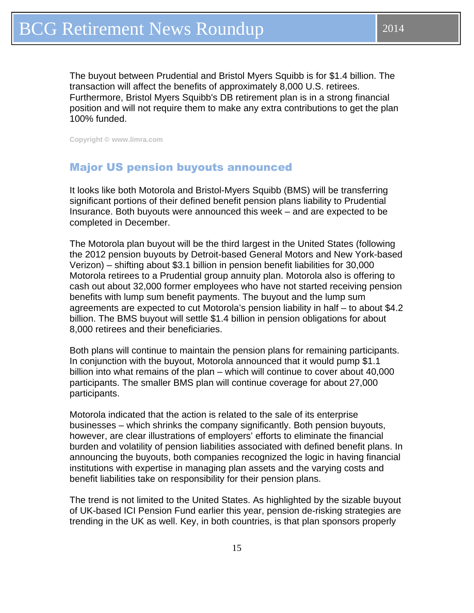<span id="page-14-0"></span>The buyout between Prudential and Bristol Myers Squibb is for \$1.4 billion. The transaction will affect the benefits of approximately 8,000 U.S. retirees. Furthermore, Bristol Myers Squibb's DB retirement plan is in a strong financial position and will not require them to make any extra contributions to get the plan 100% funded.

**Copyright © www.limra.com** 

#### Major US pension buyouts announced

It looks like both Motorola and Bristol-Myers Squibb (BMS) will be transferring significant portions of their defined benefit pension plans liability to Prudential Insurance. Both buyouts were announced this week – and are expected to be completed in December.

The Motorola plan buyout will be the third largest in the United States (following the 2012 pension buyouts by Detroit-based General Motors and New York-based Verizon) – shifting about \$3.1 billion in pension benefit liabilities for 30,000 Motorola retirees to a Prudential group annuity plan. Motorola also is offering to cash out about 32,000 former employees who have not started receiving pension benefits with lump sum benefit payments. The buyout and the lump sum agreements are expected to cut Motorola's pension liability in half – to about \$4.2 billion. The BMS buyout will settle \$1.4 billion in pension obligations for about 8,000 retirees and their beneficiaries.

Both plans will continue to maintain the pension plans for remaining participants. In conjunction with the buyout, Motorola announced that it would pump \$1.1 billion into what remains of the plan – which will continue to cover about 40,000 participants. The smaller BMS plan will continue coverage for about 27,000 participants.

Motorola indicated that the action is related to the sale of its enterprise businesses – which shrinks the company significantly. Both pension buyouts, however, are clear illustrations of employers' efforts to eliminate the financial burden and volatility of pension liabilities associated with defined benefit plans. In announcing the buyouts, both companies recognized the logic in having financial institutions with expertise in managing plan assets and the varying costs and benefit liabilities take on responsibility for their pension plans.

The trend is not limited to the United States. As highlighted by the sizable buyout of UK-based ICI Pension Fund earlier this year, pension de-risking strategies are trending in the UK as well. Key, in both countries, is that plan sponsors properly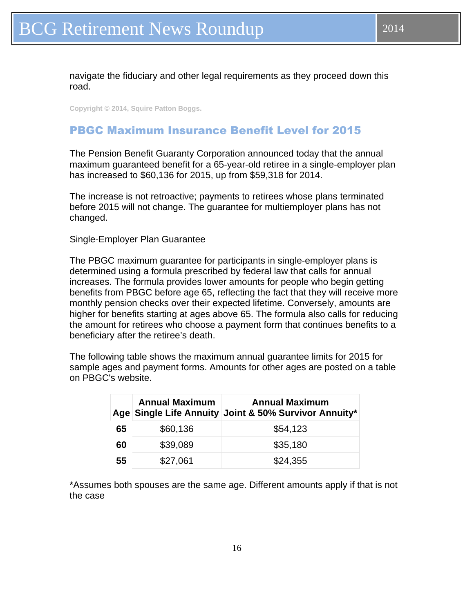<span id="page-15-0"></span>navigate the fiduciary and other legal requirements as they proceed down this road.

**Copyright © 2014, Squire Patton Boggs.** 

#### PBGC Maximum Insurance Benefit Level for 2015

The Pension Benefit Guaranty Corporation announced today that the annual maximum guaranteed benefit for a 65-year-old retiree in a single-employer plan has increased to \$60,136 for 2015, up from \$59,318 for 2014.

The increase is not retroactive; payments to retirees whose plans terminated before 2015 will not change. The guarantee for multiemployer plans has not changed.

Single-Employer Plan Guarantee

The PBGC maximum guarantee for participants in single-employer plans is determined using a formula prescribed by federal law that calls for annual increases. The formula provides lower amounts for people who begin getting benefits from PBGC before age 65, reflecting the fact that they will receive more monthly pension checks over their expected lifetime. Conversely, amounts are higher for benefits starting at ages above 65. The formula also calls for reducing the amount for retirees who choose a payment form that continues benefits to a beneficiary after the retiree's death.

The following table shows the maximum annual guarantee limits for 2015 for sample ages and payment forms. Amounts for other ages are posted on a table on PBGC's website.

|    | <b>Annual Maximum</b> | <b>Annual Maximum</b><br>Age Single Life Annuity Joint & 50% Survivor Annuity* |
|----|-----------------------|--------------------------------------------------------------------------------|
| 65 | \$60,136              | \$54,123                                                                       |
| 60 | \$39,089              | \$35,180                                                                       |
| 55 | \$27,061              | \$24,355                                                                       |

\*Assumes both spouses are the same age. Different amounts apply if that is not the case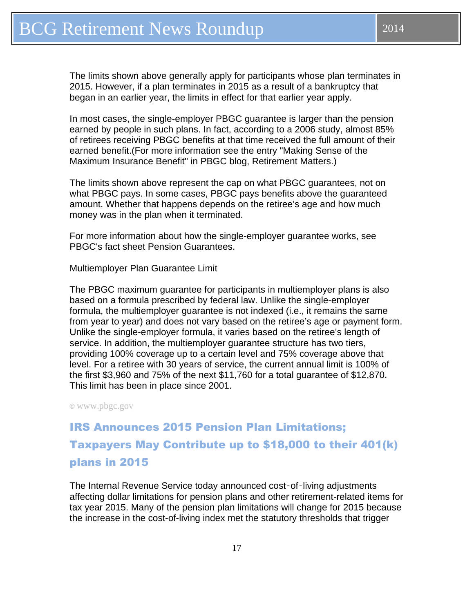<span id="page-16-0"></span>The limits shown above generally apply for participants whose plan terminates in 2015. However, if a plan terminates in 2015 as a result of a bankruptcy that began in an earlier year, the limits in effect for that earlier year apply.

In most cases, the single-employer PBGC guarantee is larger than the pension earned by people in such plans. In fact, according to a 2006 study, almost 85% of retirees receiving PBGC benefits at that time received the full amount of their earned benefit.(For more information see the entry "Making Sense of the Maximum Insurance Benefit" in PBGC blog, Retirement Matters.)

The limits shown above represent the cap on what PBGC guarantees, not on what PBGC pays. In some cases, PBGC pays benefits above the guaranteed amount. Whether that happens depends on the retiree's age and how much money was in the plan when it terminated.

For more information about how the single-employer guarantee works, see PBGC's fact sheet Pension Guarantees.

Multiemployer Plan Guarantee Limit

The PBGC maximum guarantee for participants in multiemployer plans is also based on a formula prescribed by federal law. Unlike the single-employer formula, the multiemployer guarantee is not indexed (i.e., it remains the same from year to year) and does not vary based on the retiree's age or payment form. Unlike the single-employer formula, it varies based on the retiree's length of service. In addition, the multiemployer guarantee structure has two tiers, providing 100% coverage up to a certain level and 75% coverage above that level. For a retiree with 30 years of service, the current annual limit is 100% of the first \$3,960 and 75% of the next \$11,760 for a total guarantee of \$12,870. This limit has been in place since 2001.

**©** www.pbgc.gov

IRS Announces 2015 Pension Plan Limitations; Taxpayers May Contribute up to \$18,000 to their 401(k) plans in 2015

The Internal Revenue Service today announced cost‑of‑living adjustments affecting dollar limitations for pension plans and other retirement-related items for tax year 2015. Many of the pension plan limitations will change for 2015 because the increase in the cost-of-living index met the statutory thresholds that trigger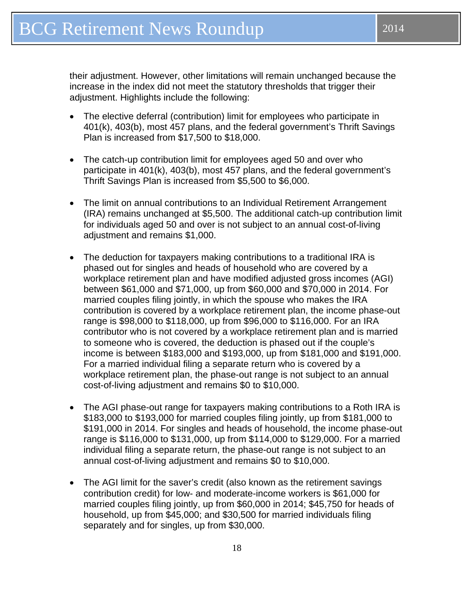their adjustment. However, other limitations will remain unchanged because the increase in the index did not meet the statutory thresholds that trigger their adjustment. Highlights include the following:

- The elective deferral (contribution) limit for employees who participate in 401(k), 403(b), most 457 plans, and the federal government's Thrift Savings Plan is increased from \$17,500 to \$18,000.
- The catch-up contribution limit for employees aged 50 and over who participate in 401(k), 403(b), most 457 plans, and the federal government's Thrift Savings Plan is increased from \$5,500 to \$6,000.
- The limit on annual contributions to an Individual Retirement Arrangement (IRA) remains unchanged at \$5,500. The additional catch-up contribution limit for individuals aged 50 and over is not subject to an annual cost-of-living adjustment and remains \$1,000.
- The deduction for taxpayers making contributions to a traditional IRA is phased out for singles and heads of household who are covered by a workplace retirement plan and have modified adjusted gross incomes (AGI) between \$61,000 and \$71,000, up from \$60,000 and \$70,000 in 2014. For married couples filing jointly, in which the spouse who makes the IRA contribution is covered by a workplace retirement plan, the income phase-out range is \$98,000 to \$118,000, up from \$96,000 to \$116,000. For an IRA contributor who is not covered by a workplace retirement plan and is married to someone who is covered, the deduction is phased out if the couple's income is between \$183,000 and \$193,000, up from \$181,000 and \$191,000. For a married individual filing a separate return who is covered by a workplace retirement plan, the phase-out range is not subject to an annual cost-of-living adjustment and remains \$0 to \$10,000.
- The AGI phase-out range for taxpayers making contributions to a Roth IRA is \$183,000 to \$193,000 for married couples filing jointly, up from \$181,000 to \$191,000 in 2014. For singles and heads of household, the income phase-out range is \$116,000 to \$131,000, up from \$114,000 to \$129,000. For a married individual filing a separate return, the phase-out range is not subject to an annual cost-of-living adjustment and remains \$0 to \$10,000.
- The AGI limit for the saver's credit (also known as the retirement savings contribution credit) for low- and moderate-income workers is \$61,000 for married couples filing jointly, up from \$60,000 in 2014; \$45,750 for heads of household, up from \$45,000; and \$30,500 for married individuals filing separately and for singles, up from \$30,000.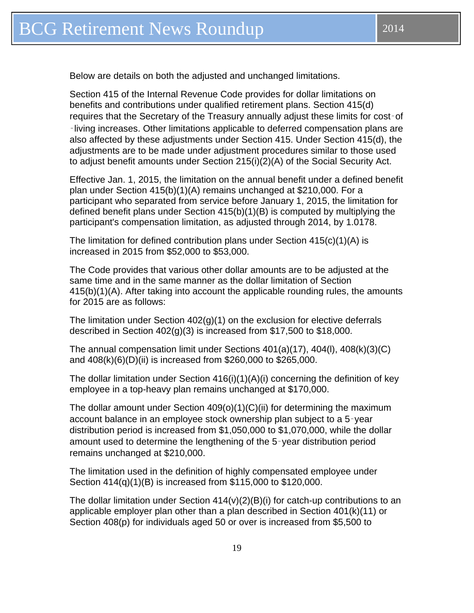Below are details on both the adjusted and unchanged limitations.

Section 415 of the Internal Revenue Code provides for dollar limitations on benefits and contributions under qualified retirement plans. Section 415(d) requires that the Secretary of the Treasury annually adjust these limits for cost‑of ‑living increases. Other limitations applicable to deferred compensation plans are also affected by these adjustments under Section 415. Under Section 415(d), the adjustments are to be made under adjustment procedures similar to those used to adjust benefit amounts under Section 215(i)(2)(A) of the Social Security Act.

Effective Jan. 1, 2015, the limitation on the annual benefit under a defined benefit plan under Section 415(b)(1)(A) remains unchanged at \$210,000. For a participant who separated from service before January 1, 2015, the limitation for defined benefit plans under Section 415(b)(1)(B) is computed by multiplying the participant's compensation limitation, as adjusted through 2014, by 1.0178.

The limitation for defined contribution plans under Section  $415(c)(1)(A)$  is increased in 2015 from \$52,000 to \$53,000.

The Code provides that various other dollar amounts are to be adjusted at the same time and in the same manner as the dollar limitation of Section 415(b)(1)(A). After taking into account the applicable rounding rules, the amounts for 2015 are as follows:

The limitation under Section  $402(q)(1)$  on the exclusion for elective deferrals described in Section 402(g)(3) is increased from \$17,500 to \$18,000.

The annual compensation limit under Sections 401(a)(17), 404(l), 408(k)(3)(C) and 408(k)(6)(D)(ii) is increased from \$260,000 to \$265,000.

The dollar limitation under Section 416(i)(1)(A)(i) concerning the definition of key employee in a top-heavy plan remains unchanged at \$170,000.

The dollar amount under Section 409(o)(1)(C)(ii) for determining the maximum account balance in an employee stock ownership plan subject to a 5‑year distribution period is increased from \$1,050,000 to \$1,070,000, while the dollar amount used to determine the lengthening of the 5‑year distribution period remains unchanged at \$210,000.

The limitation used in the definition of highly compensated employee under Section 414(q)(1)(B) is increased from \$115,000 to \$120,000.

The dollar limitation under Section  $414(v)(2)(B)(i)$  for catch-up contributions to an applicable employer plan other than a plan described in Section 401(k)(11) or Section 408(p) for individuals aged 50 or over is increased from \$5,500 to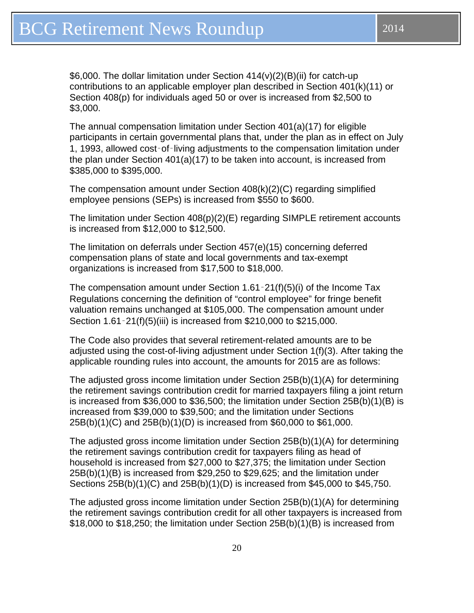\$6,000. The dollar limitation under Section 414(v)(2)(B)(ii) for catch-up contributions to an applicable employer plan described in Section 401(k)(11) or Section 408(p) for individuals aged 50 or over is increased from \$2,500 to \$3,000.

The annual compensation limitation under Section 401(a)(17) for eligible participants in certain governmental plans that, under the plan as in effect on July 1, 1993, allowed cost‑of‑living adjustments to the compensation limitation under the plan under Section 401(a)(17) to be taken into account, is increased from \$385,000 to \$395,000.

The compensation amount under Section 408(k)(2)(C) regarding simplified employee pensions (SEPs) is increased from \$550 to \$600.

The limitation under Section 408(p)(2)(E) regarding SIMPLE retirement accounts is increased from \$12,000 to \$12,500.

The limitation on deferrals under Section 457(e)(15) concerning deferred compensation plans of state and local governments and tax-exempt organizations is increased from \$17,500 to \$18,000.

The compensation amount under Section 1.61‑21(f)(5)(i) of the Income Tax Regulations concerning the definition of "control employee" for fringe benefit valuation remains unchanged at \$105,000. The compensation amount under Section 1.61-21(f)(5)(iii) is increased from \$210,000 to \$215,000.

The Code also provides that several retirement-related amounts are to be adjusted using the cost-of-living adjustment under Section 1(f)(3). After taking the applicable rounding rules into account, the amounts for 2015 are as follows:

The adjusted gross income limitation under Section 25B(b)(1)(A) for determining the retirement savings contribution credit for married taxpayers filing a joint return is increased from \$36,000 to \$36,500; the limitation under Section 25B(b)(1)(B) is increased from \$39,000 to \$39,500; and the limitation under Sections 25B(b)(1)(C) and 25B(b)(1)(D) is increased from \$60,000 to \$61,000.

The adjusted gross income limitation under Section 25B(b)(1)(A) for determining the retirement savings contribution credit for taxpayers filing as head of household is increased from \$27,000 to \$27,375; the limitation under Section 25B(b)(1)(B) is increased from \$29,250 to \$29,625; and the limitation under Sections 25B(b)(1)(C) and 25B(b)(1)(D) is increased from \$45,000 to \$45,750.

The adjusted gross income limitation under Section 25B(b)(1)(A) for determining the retirement savings contribution credit for all other taxpayers is increased from \$18,000 to \$18,250; the limitation under Section 25B(b)(1)(B) is increased from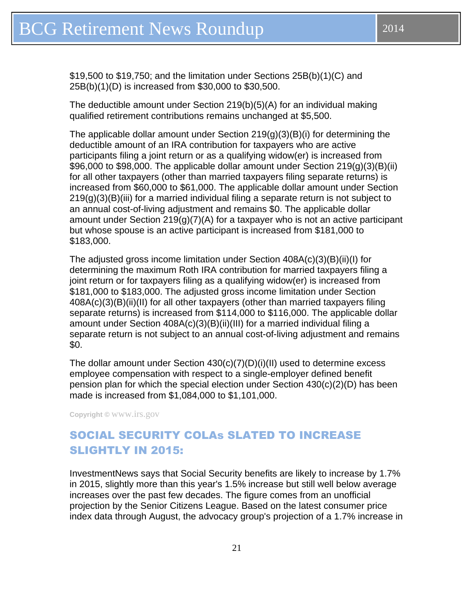<span id="page-20-0"></span>\$19,500 to \$19,750; and the limitation under Sections 25B(b)(1)(C) and 25B(b)(1)(D) is increased from \$30,000 to \$30,500.

The deductible amount under Section 219(b)(5)(A) for an individual making qualified retirement contributions remains unchanged at \$5,500.

The applicable dollar amount under Section  $219(g)(3)(B)(i)$  for determining the deductible amount of an IRA contribution for taxpayers who are active participants filing a joint return or as a qualifying widow(er) is increased from \$96,000 to \$98,000. The applicable dollar amount under Section 219(g)(3)(B)(ii) for all other taxpayers (other than married taxpayers filing separate returns) is increased from \$60,000 to \$61,000. The applicable dollar amount under Section  $219(q)(3)(B)(iii)$  for a married individual filing a separate return is not subject to an annual cost-of-living adjustment and remains \$0. The applicable dollar amount under Section 219(g)(7)(A) for a taxpayer who is not an active participant but whose spouse is an active participant is increased from \$181,000 to \$183,000.

The adjusted gross income limitation under Section 408A(c)(3)(B)(ii)(I) for determining the maximum Roth IRA contribution for married taxpayers filing a joint return or for taxpayers filing as a qualifying widow(er) is increased from \$181,000 to \$183,000. The adjusted gross income limitation under Section 408A(c)(3)(B)(ii)(II) for all other taxpayers (other than married taxpayers filing separate returns) is increased from \$114,000 to \$116,000. The applicable dollar amount under Section 408A(c)(3)(B)(ii)(III) for a married individual filing a separate return is not subject to an annual cost-of-living adjustment and remains \$0.

The dollar amount under Section 430(c)(7)(D)(i)(II) used to determine excess employee compensation with respect to a single-employer defined benefit pension plan for which the special election under Section 430(c)(2)(D) has been made is increased from \$1,084,000 to \$1,101,000.

**Copyright ©** www.irs.gov

## SOCIAL SECURITY COLAs SLATED TO INCREASE SLIGHTLY IN 2015:

InvestmentNews says that Social Security benefits are likely to increase by 1.7% in 2015, slightly more than this year's 1.5% increase but still well below average increases over the past few decades. The figure comes from an unofficial projection by the Senior Citizens League. Based on the latest consumer price index data through August, the advocacy group's projection of a 1.7% increase in